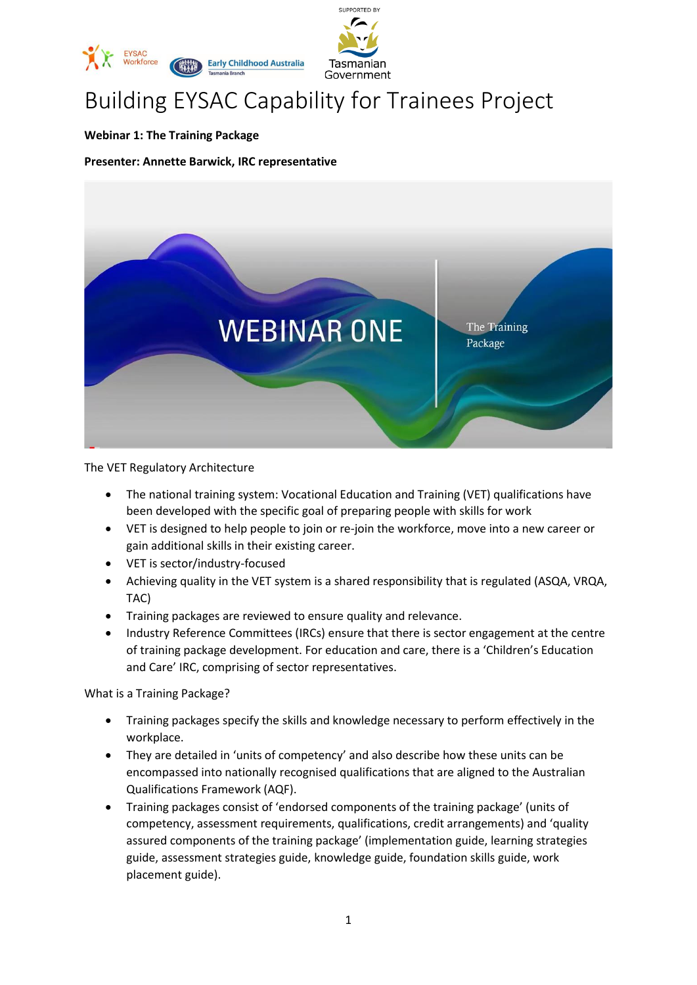



## Building EYSAC Capability for Trainees Project

**Webinar 1: The Training Package**

**Presenter: Annette Barwick, IRC representative**



The VET Regulatory Architecture

- The national training system: Vocational Education and Training (VET) qualifications have been developed with the specific goal of preparing people with skills for work
- VET is designed to help people to join or re-join the workforce, move into a new career or gain additional skills in their existing career.
- VET is sector/industry-focused
- Achieving quality in the VET system is a shared responsibility that is regulated (ASQA, VRQA, TAC)
- Training packages are reviewed to ensure quality and relevance.
- Industry Reference Committees (IRCs) ensure that there is sector engagement at the centre of training package development. For education and care, there is a 'Children's Education and Care' IRC, comprising of sector representatives.

What is a Training Package?

- Training packages specify the skills and knowledge necessary to perform effectively in the workplace.
- They are detailed in 'units of competency' and also describe how these units can be encompassed into nationally recognised qualifications that are aligned to the Australian Qualifications Framework (AQF).
- Training packages consist of 'endorsed components of the training package' (units of competency, assessment requirements, qualifications, credit arrangements) and 'quality assured components of the training package' (implementation guide, learning strategies guide, assessment strategies guide, knowledge guide, foundation skills guide, work placement guide).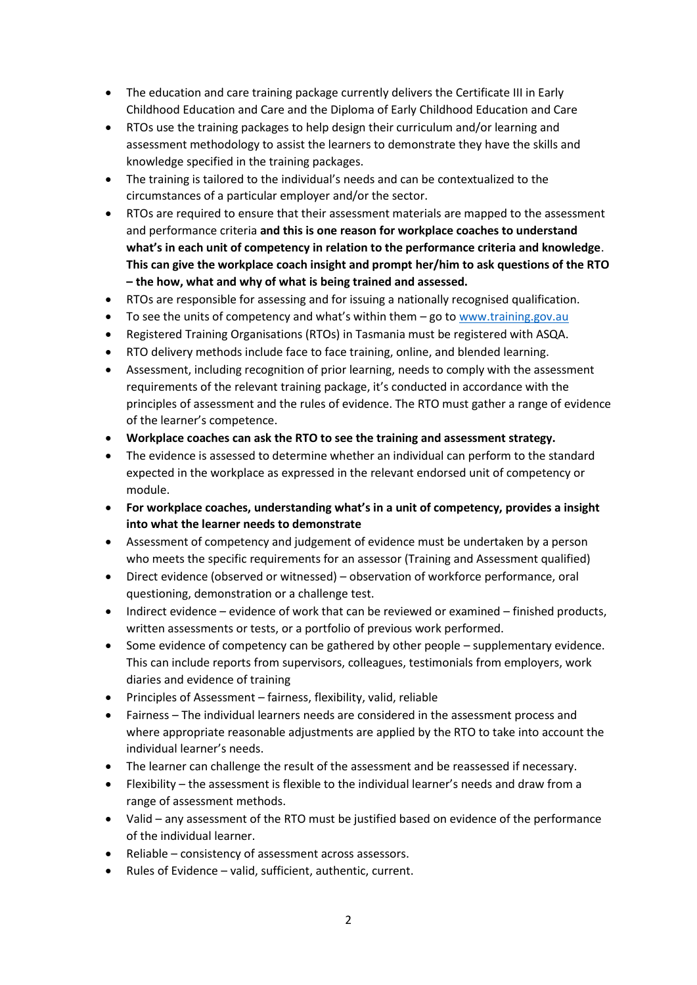- The education and care training package currently delivers the Certificate III in Early Childhood Education and Care and the Diploma of Early Childhood Education and Care
- RTOs use the training packages to help design their curriculum and/or learning and assessment methodology to assist the learners to demonstrate they have the skills and knowledge specified in the training packages.
- The training is tailored to the individual's needs and can be contextualized to the circumstances of a particular employer and/or the sector.
- RTOs are required to ensure that their assessment materials are mapped to the assessment and performance criteria **and this is one reason for workplace coaches to understand what's in each unit of competency in relation to the performance criteria and knowledge**. **This can give the workplace coach insight and prompt her/him to ask questions of the RTO – the how, what and why of what is being trained and assessed.**
- RTOs are responsible for assessing and for issuing a nationally recognised qualification.
- To see the units of competency and what's within them  $-$  go to [www.training.gov.au](http://www.training.gov.au/)
- Registered Training Organisations (RTOs) in Tasmania must be registered with ASQA.
- RTO delivery methods include face to face training, online, and blended learning.
- Assessment, including recognition of prior learning, needs to comply with the assessment requirements of the relevant training package, it's conducted in accordance with the principles of assessment and the rules of evidence. The RTO must gather a range of evidence of the learner's competence.
- **Workplace coaches can ask the RTO to see the training and assessment strategy.**
- The evidence is assessed to determine whether an individual can perform to the standard expected in the workplace as expressed in the relevant endorsed unit of competency or module.
- **For workplace coaches, understanding what's in a unit of competency, provides a insight into what the learner needs to demonstrate**
- Assessment of competency and judgement of evidence must be undertaken by a person who meets the specific requirements for an assessor (Training and Assessment qualified)
- Direct evidence (observed or witnessed) observation of workforce performance, oral questioning, demonstration or a challenge test.
- Indirect evidence evidence of work that can be reviewed or examined finished products, written assessments or tests, or a portfolio of previous work performed.
- Some evidence of competency can be gathered by other people supplementary evidence. This can include reports from supervisors, colleagues, testimonials from employers, work diaries and evidence of training
- Principles of Assessment fairness, flexibility, valid, reliable
- Fairness The individual learners needs are considered in the assessment process and where appropriate reasonable adjustments are applied by the RTO to take into account the individual learner's needs.
- The learner can challenge the result of the assessment and be reassessed if necessary.
- Flexibility the assessment is flexible to the individual learner's needs and draw from a range of assessment methods.
- Valid any assessment of the RTO must be justified based on evidence of the performance of the individual learner.
- Reliable consistency of assessment across assessors.
- Rules of Evidence valid, sufficient, authentic, current.